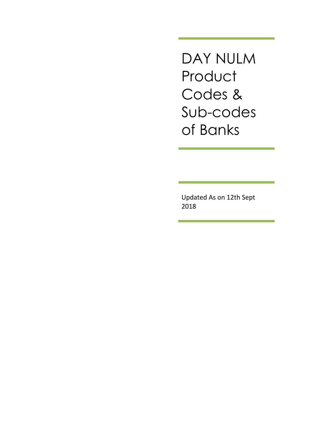DAY NULM **Product** Codes & Sub-codes of Banks

Updated As on 12th Sept 2018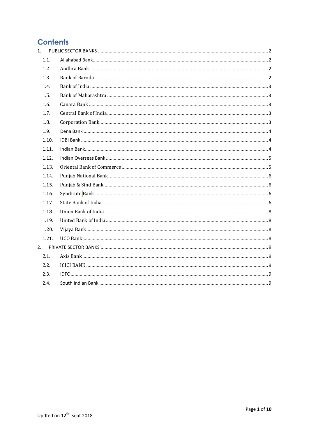# **Contents**

| 1.    |  |
|-------|--|
| 1.1.  |  |
| 1.2.  |  |
| 1.3.  |  |
| 1.4.  |  |
| 1.5.  |  |
| 1.6.  |  |
| 1.7.  |  |
| 1.8.  |  |
| 1.9.  |  |
| 1.10. |  |
| 1.11. |  |
| 1.12. |  |
| 1.13. |  |
| 1.14. |  |
| 1.15. |  |
| 1.16. |  |
| 1.17. |  |
| 1.18. |  |
| 1.19. |  |
| 1.20. |  |
| 1.21. |  |
| 2.    |  |
| 2.1.  |  |
| 2.2.  |  |
| 2.3.  |  |
| 2.4.  |  |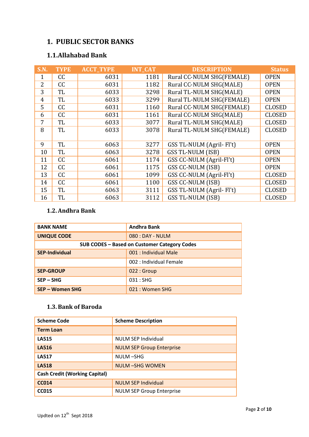# <span id="page-2-0"></span>**1. PUBLIC SECTOR BANKS**

# <span id="page-2-1"></span>**1.1.Allahabad Bank**

| <b>S.N.</b>    | <b>TYPE</b> | <b>ACCT TYPE</b> | <b>INT_CAT</b> | <b>DESCRIPTION</b>        | <b>Status</b> |
|----------------|-------------|------------------|----------------|---------------------------|---------------|
| 1              | cc          | 6031             | 1181           | Rural CC-NULM SHG(FEMALE) | <b>OPEN</b>   |
| $\overline{2}$ | CC          | 6031             | 1182           | Rural CC-NULM SHG(MALE)   | <b>OPEN</b>   |
| 3              | <b>TL</b>   | 6033             | 3298           | Rural TL-NULM SHG(MALE)   | <b>OPEN</b>   |
| $\overline{4}$ | TL          | 6033             | 3299           | Rural TL-NULM SHG(FEMALE) | <b>OPEN</b>   |
| 5              | cc          | 6031             | 1160           | Rural CC-NULM SHG(FEMALE) | <b>CLOSED</b> |
| 6              | CC          | 6031             | 1161           | Rural CC-NULM SHG(MALE)   | <b>CLOSED</b> |
| 7              | TL          | 6033             | 3077           | Rural TL-NULM SHG(MALE)   | <b>CLOSED</b> |
| 8              | TL          | 6033             | 3078           | Rural TL-NULM SHG(FEMALE) | <b>CLOSED</b> |
|                |             |                  |                |                           |               |
| 9              | <b>TL</b>   | 6063             | 3277           | GSS TL-NULM (Agril- Fl't) | <b>OPEN</b>   |
| 10             | <b>TL</b>   | 6063             | 3278           | GSS TL-NULM (ISB)         | <b>OPEN</b>   |
| 11             | CC          | 6061             | 1174           | GSS CC-NULM (Agril-Fl't)  | <b>OPEN</b>   |
| 12             | CC          | 6061             | 1175           | <b>GSS CC-NULM (ISB)</b>  | <b>OPEN</b>   |
| 13             | CC          | 6061             | 1099           | GSS CC-NULM (Agril-Fl't)  | <b>CLOSED</b> |
| 14             | CC          | 6061             | 1100           | <b>GSS CC-NULM (ISB)</b>  | <b>CLOSED</b> |
| 15             | TL          | 6063             | 3111           | GSS TL-NULM (Agril- Fl't) | <b>CLOSED</b> |
| 16             | TL          | 6063             | 3112           | GSS TL-NULM (ISB)         | <b>CLOSED</b> |

## <span id="page-2-2"></span>**1.2.Andhra Bank**

| <b>BANK NAME</b>                             | <b>Andhra Bank</b>      |
|----------------------------------------------|-------------------------|
| <b>UNIQUE CODE</b>                           | $080:$ DAY - NULM       |
| SUB CODES - Based on Customer Category Codes |                         |
| <b>SEP-Individual</b>                        | 001 : Individual Male   |
|                                              | 002 : Individual Female |
| <b>SEP-GROUP</b>                             | 022:Group               |
| $SEP - SHG$                                  | 031:SHG                 |
| SEP – Women SHG                              | 021 : Women SHG         |

# <span id="page-2-3"></span>**1.3.Bank of Baroda**

| <b>Scheme Code</b>                   | <b>Scheme Description</b>        |
|--------------------------------------|----------------------------------|
| <b>Term Loan</b>                     |                                  |
| <b>LA515</b>                         | <b>NULM SEP Individual</b>       |
| <b>LA516</b>                         | <b>NULM SEP Group Enterprise</b> |
| <b>LA517</b>                         | NULM-SHG                         |
| <b>LA518</b>                         | <b>NULM-SHG WOMEN</b>            |
| <b>Cash Credit (Working Capital)</b> |                                  |
| <b>CC014</b>                         | <b>NULM SEP Individual</b>       |
| <b>CC015</b>                         | <b>NULM SEP Group Enterprise</b> |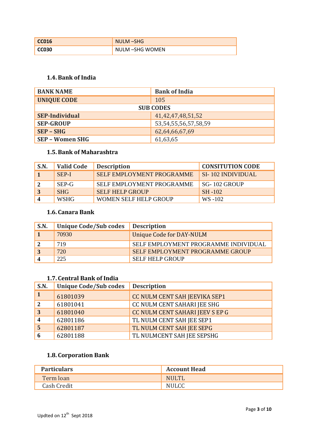| NULM-SHG        |
|-----------------|
| NULM -SHG WOMEN |

# <span id="page-3-0"></span>**1.4.Bank of India**

| <b>BANK NAME</b>       | <b>Bank of India</b>       |
|------------------------|----------------------------|
| <b>UNIQUE CODE</b>     | 105                        |
| <b>SUB CODES</b>       |                            |
| <b>SEP-Individual</b>  | 41, 42, 47, 48, 51, 52     |
| <b>SEP-GROUP</b>       | 53, 54, 55, 56, 57, 58, 59 |
| $SEP - SHG$            | 62,64,66,67,69             |
| <b>SEP - Women SHG</b> | 61,63,65                   |

## <span id="page-3-1"></span>**1.5.Bank of Maharashtra**

| S.N. | <b>Valid Code</b> | <b>Description</b>               | <b>CONSITUTION CODE</b>  |
|------|-------------------|----------------------------------|--------------------------|
|      | SEP-I             | <b>SELF EMPLOYMENT PROGRAMME</b> | <b>SI-102 INDIVIDUAL</b> |
|      | SEP-G             | SELF EMPLOYMENT PROGRAMME        | SG-102 GROUP             |
|      | <b>SHG</b>        | <b>SELF HELP GROUP</b>           | $SH-102$                 |
|      | <b>WSHG</b>       | <b>WOMEN SELF HELP GROUP</b>     | WS-102                   |

### <span id="page-3-2"></span>**1.6. Canara Bank**

| S.N. | Unique Code/Sub codes | <b>Description</b>                   |
|------|-----------------------|--------------------------------------|
|      | 70930                 | Unique Code for DAY-NULM             |
|      | 719                   | SELF EMPLOYMENT PROGRAMME INDIVIDUAL |
|      | 720                   | SELF EMPLOYMENT PROGRAMME GROUP      |
|      | 225                   | <b>SELF HELP GROUP</b>               |

### <span id="page-3-3"></span>**1.7. Central Bank of India**

| S.N.           | <b>Unique Code/Sub codes</b> | <b>Description</b>              |
|----------------|------------------------------|---------------------------------|
|                | 61801039                     | CC NULM CENT SAH JEEVIKA SEP1   |
| $\overline{2}$ | 61801041                     | CC NULM CENT SAHARI JEE SHG     |
| $\overline{3}$ | 61801040                     | CC NULM CENT SAHARI JEEV S EP G |
|                | 62801186                     | TL NULM CENT SAH JEE SEP1       |
|                | 62801187                     | TL NULM CENT SAH JEE SEPG       |
|                | 62801188                     | TL NULMCENT SAH JEE SEPSHG      |

## <span id="page-3-4"></span>**1.8. Corporation Bank**

| <b>Particulars</b> | <b>Account Head</b> |
|--------------------|---------------------|
| Term loan          | <b>NULTL</b>        |
| Cash Credit        | <b>NULCC</b>        |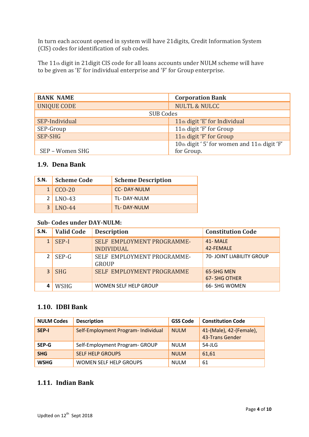In turn each account opened in system will have 21digits, Credit Information System (CIS) codes for identification of sub codes.

The 11th digit in 21digit CIS code for all loans accounts under NULM scheme will have to be given as 'E' for individual enterprise and 'F' for Group enterprise.

| <b>BANK NAME</b>   | <b>Corporation Bank</b>                     |
|--------------------|---------------------------------------------|
| <b>UNIQUE CODE</b> | <b>NULTL &amp; NULCC</b>                    |
| <b>SUB Codes</b>   |                                             |
| SEP-Individual     | 11th digit 'E' for Individual               |
| SEP-Group          | 11th digit 'F' for Group                    |
| SEP-SHG            | 11th digit 'F' for Group                    |
|                    | 10th digit '5' for women and 11th digit 'F' |
| SEP - Women SHG    | for Group.                                  |

## <span id="page-4-0"></span>**1.9. Dena Bank**

| S.N. | <b>Scheme Code</b> | <b>Scheme Description</b> |
|------|--------------------|---------------------------|
|      | $1   CCO-20$       | <b>CC-DAY-NULM</b>        |
|      | $2$ LNO-43         | TL-DAY-NULM               |
| 3    | $LNO-44$           | <b>TL-DAY-NULM</b>        |

### **Sub- Codes under DAY-NULM:**

| S.N.           | <b>Valid Code</b> | <b>Description</b>                              | <b>Constitution Code</b>          |
|----------------|-------------------|-------------------------------------------------|-----------------------------------|
|                | SEP-I             | SELF EMPLOYMENT PROGRAMME-<br><b>INDIVIDUAL</b> | 41-MALE<br>42-FEMALE              |
| 2              | $SEP-G$           | SELF EMPLOYMENT PROGRAMME-<br><b>GROUP</b>      | <b>70- JOINT LIABILITY GROUP</b>  |
| $\overline{3}$ | <b>SHG</b>        | SELF EMPLOYMENT PROGRAMME                       | 65-SHG MEN<br><b>67-SHG OTHER</b> |
|                | <b>WSHG</b>       | <b>WOMEN SELF HELP GROUP</b>                    | 66- SHG WOMEN                     |

## <span id="page-4-1"></span>**1.10. IDBI Bank**

| <b>NULM Codes</b> | <b>Description</b>                  | <b>GSS Code</b> | <b>Constitution Code</b>                   |
|-------------------|-------------------------------------|-----------------|--------------------------------------------|
| SEP-I             | Self-Employment Program- Individual | <b>NULM</b>     | 41-(Male), 42-(Female),<br>43-Trans Gender |
| SEP-G             | Self-Employment Program- GROUP      | <b>NULM</b>     | $54$ -JLG                                  |
| <b>SHG</b>        | <b>SELF HELP GROUPS</b>             | <b>NULM</b>     | 61,61                                      |
| <b>WSHG</b>       | <b>WOMEN SELF HELP GROUPS</b>       | <b>NULM</b>     | 61                                         |

## <span id="page-4-2"></span>**1.11. Indian Bank**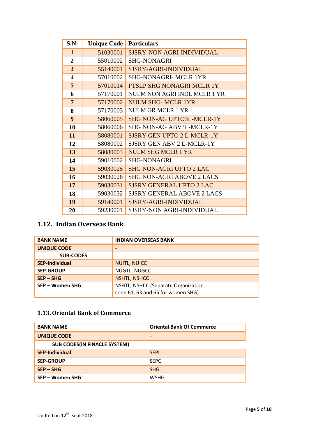| S.N.                    | <b>Unique Code</b> | <b>Particulars</b>                |  |
|-------------------------|--------------------|-----------------------------------|--|
| $\mathbf{1}$            | 51030001           | <b>SJSRY-NON AGRI-INDIVIDUAL</b>  |  |
| $\overline{2}$          | 55010002           | <b>SHG-NONAGRI</b>                |  |
| 3                       | 55140001           | SJSRY-AGRI-INDIVIDUAL             |  |
| $\overline{\mathbf{4}}$ | 57010002           | <b>SHG-NONAGRI- MCLR 1YR</b>      |  |
| 5                       | 57010014           | PTSLP SHG NONAGRI MCLR 1Y         |  |
| 6                       | 57170001           | NULM NON AGRI INDL MCLR 1 YR      |  |
| $\overline{7}$          | 57170002           | <b>NULM SHG- MCLR 1YR</b>         |  |
| 8                       | 57170003           | NULM GR MCLR 1 YR                 |  |
| 9                       | 58060005           | <b>SHG NON-AG UPTO3L-MCLR-1Y</b>  |  |
| 10                      | 58060006           | <b>SHG NON-AG ABV3L-MCLR-1Y</b>   |  |
| 11                      | 58080001           | <b>SJSRY GEN UPTO 2 L-MCLR-1Y</b> |  |
| 12                      | 58080002           | SJSRY GEN ABV 2 L-MCLR-1Y         |  |
| 13                      | 58080003           | <b>NULM SHG MCLR 1 YR</b>         |  |
| 14                      | 59010002           | <b>SHG-NONAGRI</b>                |  |
| 15                      | 59030025           | <b>SHG NON-AGRI UPTO 2 LAC</b>    |  |
| 16                      | 59030026           | <b>SHG NON-AGRI ABOVE 2 LACS</b>  |  |
| 17                      | 59030031           | <b>SJSRY GENERAL UPTO 2 LAC</b>   |  |
| 18                      | 59030032           | <b>SJSRY GENERAL ABOVE 2 LACS</b> |  |
| 19                      | 59140001           | SJSRY-AGRI-INDIVIDUAL             |  |
| 20                      | 59230001           | <b>SJSRY-NON AGRI-INDIVIDUAL</b>  |  |

# <span id="page-5-0"></span>**1.12. Indian Overseas Bank**

| <b>BANK NAME</b>      | <b>INDIAN OVERSEAS BANK</b>                                              |
|-----------------------|--------------------------------------------------------------------------|
| <b>UNIQUE CODE</b>    | $\overline{\phantom{0}}$                                                 |
| <b>SUB-CODES</b>      |                                                                          |
| <b>SEP-Individual</b> | <b>NUITL, NUICC</b>                                                      |
| <b>SEP-GROUP</b>      | NUGTL, NUGCC                                                             |
| $SEP - SHG$           | <b>NSHTL, NSHCC</b>                                                      |
| SEP - Women SHG       | NSHTL, NSHCC (Separate Organization<br>code 61, 63 and 65 for women SHG) |

# <span id="page-5-1"></span>**1.13.Oriental Bank of Commerce**

| <b>BANK NAME</b>                    | <b>Oriental Bank Of Commerce</b> |
|-------------------------------------|----------------------------------|
| <b>UNIQUE CODE</b>                  | $\overline{\phantom{0}}$         |
| <b>SUB CODES(IN FINACLE SYSTEM)</b> |                                  |
| <b>SEP-Individual</b>               | <b>SEPI</b>                      |
| <b>SEP-GROUP</b>                    | <b>SEPG</b>                      |
| $SEP - SHG$                         | <b>SHG</b>                       |
| SEP – Women SHG                     | <b>WSHG</b>                      |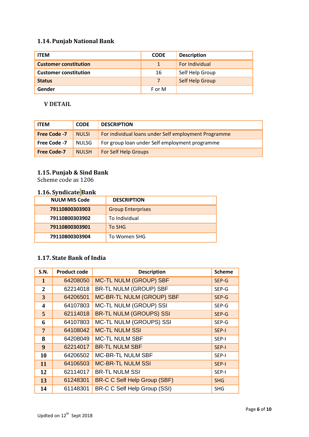# <span id="page-6-0"></span>**1.14. Punjab National Bank**

| <b>ITEM</b>                  | <b>CODE</b> | <b>Description</b> |
|------------------------------|-------------|--------------------|
| <b>Customer constitution</b> | 1           | For Individual     |
| <b>Customer constitution</b> | 16          | Self Help Group    |
| <b>Status</b>                | 7           | Self Help Group    |
| Gender                       | F or M      |                    |

### **V DETAIL**

| <b>ITEM</b>         | <b>CODE</b>  | <b>DESCRIPTION</b>                                   |
|---------------------|--------------|------------------------------------------------------|
| <b>Free Code -7</b> | <b>NULSI</b> | For individual loans under Self employment Programme |
| Free Code -7        | <b>NULSG</b> | For group loan under Self employment programme       |
| <b>Free Code-7</b>  | <b>NULSH</b> | For Self Help Groups                                 |

## <span id="page-6-1"></span>**1.15. Punjab & Sind Bank**

Scheme code as 1206

# <span id="page-6-2"></span>**1.16. Syndicate Bank**

| <b>NULM MIS Code</b> | <b>DESCRIPTION</b>       |
|----------------------|--------------------------|
| 79110800303903       | <b>Group Enterprises</b> |
| 79110800303902       | To Individual            |
| 79110800303901       | To SHG                   |
| 79110800303904       | To Women SHG             |

# <span id="page-6-3"></span>**1.17. State Bank of India**

| <b>S.N.</b>             | <b>Product code</b> | <b>Description</b>                  | <b>Scheme</b> |
|-------------------------|---------------------|-------------------------------------|---------------|
| 1                       | 64208050            | <b>MC-TL NULM (GROUP) SBF</b>       | SEP-G         |
| $\overline{2}$          | 62214018            | <b>BR-TL NULM (GROUP) SBF</b>       | SEP-G         |
| 3                       | 64206501            | MC-BR-TL NULM (GROUP) SBF           | SEP-G         |
| $\overline{\mathbf{4}}$ | 64107803            | <b>MC-TL NULM (GROUP) SSI</b>       | SEP-G         |
| 5 <sup>5</sup>          | 62114018            | <b>BR-TL NULM (GROUPS) SSI</b>      | SEP-G         |
| 6                       | 64107803            | MC-TL NULM (GROUPS) SSI             | SEP-G         |
| $\overline{7}$          | 64108042            | <b>MC-TL NULM SSI</b>               | SEP-I         |
| 8                       | 64208049            | <b>MC-TL NULM SBF</b>               | SEP-I         |
| 9                       | 62214017            | <b>BR-TL NULM SBF</b>               | SEP-I         |
| 10                      | 64206502            | MC-BR-TL NULM SBF                   | SEP-I         |
| 11                      | 64106503            | <b>MC-BR-TL NULM SSI</b>            | SEP-I         |
| 12                      | 62114017            | <b>BR-TL NULM SSI</b>               | SEP-I         |
| 13                      | 61248301            | <b>BR-C C Self Help Group (SBF)</b> | <b>SHG</b>    |
| 14                      | 61148301            | BR-C C Self Help Group (SSI)        | <b>SHG</b>    |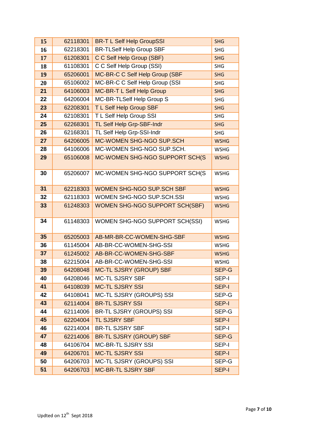| 15       | 62118301 | <b>BR-T L Self Help GroupSSI</b>      | <b>SHG</b>   |
|----------|----------|---------------------------------------|--------------|
| 16       | 62218301 | <b>BR-TLSelf Help Group SBF</b>       | <b>SHG</b>   |
| 17       | 61208301 | C C Self Help Group (SBF)             | <b>SHG</b>   |
| 18       | 61108301 | C C Self Help Group (SSI)             | <b>SHG</b>   |
| 19       | 65206001 | MC-BR-C C Self Help Group (SBF        | <b>SHG</b>   |
| 20       | 65106002 | MC-BR-C C Self Help Group (SSI        | <b>SHG</b>   |
| 21       | 64106003 | MC-BR-T L Self Help Group             | <b>SHG</b>   |
| 22       | 64206004 | MC-BR-TLSelf Help Group S             | <b>SHG</b>   |
| 23       | 62208301 | T L Self Help Group SBF               | <b>SHG</b>   |
| 24       | 62108301 | T L Self Help Group SSI               | <b>SHG</b>   |
| 25       | 62268301 | TL Self Help Grp-SBF-Indr             | <b>SHG</b>   |
| 26       | 62168301 | TL Self Help Grp-SSI-Indr             | <b>SHG</b>   |
| 27       | 64206005 | MC-WOMEN SHG-NGO SUP.SCH              | <b>WSHG</b>  |
| 28       | 64106006 | MC-WOMEN SHG-NGO SUP.SCH.             | <b>WSHG</b>  |
| 29       | 65106008 | MC-WOMEN SHG-NGO SUPPORT SCH(S        | <b>WSHG</b>  |
|          |          |                                       |              |
| 30       | 65206007 | MC-WOMEN SHG-NGO SUPPORT SCH(S        | <b>WSHG</b>  |
|          |          |                                       |              |
| 31       | 62218303 | <b>WOMEN SHG-NGO SUP.SCH SBF</b>      | <b>WSHG</b>  |
| 32<br>33 | 62118303 | WOMEN SHG-NGO SUP.SCH.SSI             | <b>WSHG</b>  |
|          | 61248303 | <b>WOMEN SHG-NGO SUPPORT SCH(SBF)</b> | <b>WSHG</b>  |
| 34       | 61148303 | WOMEN SHG-NGO SUPPORT SCH(SSI)        | <b>WSHG</b>  |
|          |          |                                       |              |
| 35       | 65205003 | AB-MR-BR-CC-WOMEN-SHG-SBF             | <b>WSHG</b>  |
| 36       | 61145004 | AB-BR-CC-WOMEN-SHG-SSI                | <b>WSHG</b>  |
| 37       | 61245002 | AB-BR-CC-WOMEN-SHG-SBF                | <b>WSHG</b>  |
| 38       | 62215004 | AB-BR-CC-WOMEN-SHG-SSI                | <b>WSHG</b>  |
| 39       | 64208048 | <b>MC-TL SJSRY (GROUP) SBF</b>        | SEP-G        |
| 40       | 64208046 | MC-TL SJSRY SBF                       | SEP-I        |
| 41       | 64108039 | <b>MC-TL SJSRY SSI</b>                | <b>SEP-I</b> |
| 42       | 64108041 | MC-TL SJSRY (GROUPS) SSI              | SEP-G        |
| 43       | 62114004 | <b>BR-TL SJSRY SSI</b>                | <b>SEP-I</b> |
| 44       | 62114006 | <b>BR-TL SJSRY (GROUPS) SSI</b>       | SEP-G        |
| 45       | 62204004 | TL SJSRY SBF                          | <b>SEP-I</b> |
| 46       | 62214004 | <b>BR-TL SJSRY SBF</b>                | SEP-I        |
| 47       | 62214006 | <b>BR-TL SJSRY (GROUP) SBF</b>        | SEP-G        |
| 48       | 64106704 | <b>MC-BR-TL SJSRY SSI</b>             | SEP-I        |
| 49       | 64206701 | <b>MC-TL SJSRY SSI</b>                | <b>SEP-I</b> |
| 50       | 64206703 | MC-TL SJSRY (GROUPS) SSI              | SEP-G        |
| 51       | 64206703 | <b>MC-BR-TL SJSRY SBF</b>             | <b>SEP-I</b> |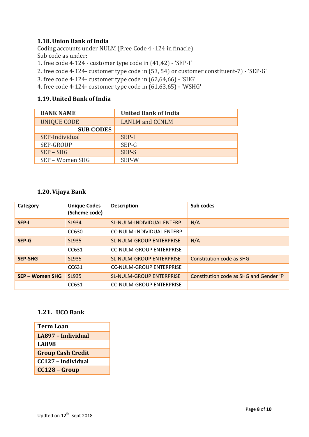### <span id="page-8-0"></span>**1.18.Union Bank of India**

Coding accounts under NULM (Free Code 4 -124 in finacle) Sub code as under:

- 1. free code 4-124 customer type code in (41,42) 'SEP-I'
- 2. free code 4-124- customer type code in (53, 54) or customer constituent-7) 'SEP-G'
- 3. free code 4-124- customer type code in (62,64,66) 'SHG'
- 4. free code 4-124- customer type code in (61,63,65) 'WSHG'

### <span id="page-8-1"></span>**1.19.United Bank of India**

| <b>BANK NAME</b>   | <b>United Bank of India</b>   |
|--------------------|-------------------------------|
| <b>UNIQUE CODE</b> | <b>LANLM</b> and <b>CCNLM</b> |
| <b>SUB CODES</b>   |                               |
| SEP-Individual     | SEP-I                         |
| SEP-GROUP          | SEP-G                         |
| $SEP - SHG$        | SEP-S                         |
| SEP - Women SHG    | SEP-W                         |

### <span id="page-8-2"></span>**1.20.Vijaya Bank**

| Category        | <b>Unique Codes</b><br>(Scheme code) | <b>Description</b>               | Sub codes                               |
|-----------------|--------------------------------------|----------------------------------|-----------------------------------------|
| <b>SEP-I</b>    | SL934                                | SL-NULM-INDIVIDUAL ENTERP        | N/A                                     |
|                 | CC630                                | <b>CC-NULM-INDIVIDUAL ENTERP</b> |                                         |
| SEP-G           | SL935                                | <b>SL-NULM-GROUP ENTERPRISE</b>  | N/A                                     |
|                 | CC631                                | <b>CC-NULM-GROUP ENTERPRISE</b>  |                                         |
| <b>SEP-SHG</b>  | SL935                                | <b>SL-NULM-GROUP ENTERPRISE</b>  | Constitution code as SHG                |
|                 | CC631                                | <b>CC-NULM-GROUP ENTERPRISE</b>  |                                         |
| SEP - Women SHG | SL935                                | <b>SL-NULM-GROUP ENTERPRISE</b>  | Constitution code as SHG and Gender 'F' |
|                 | CC631                                | <b>CC-NULM-GROUP ENTERPRISE</b>  |                                         |

## <span id="page-8-3"></span>**1.21. UCO Bank**

| Term Loan                |
|--------------------------|
| LA897 - Individual       |
| LA898                    |
| <b>Group Cash Credit</b> |
| CC127 - Individual       |
| CC128 - Group            |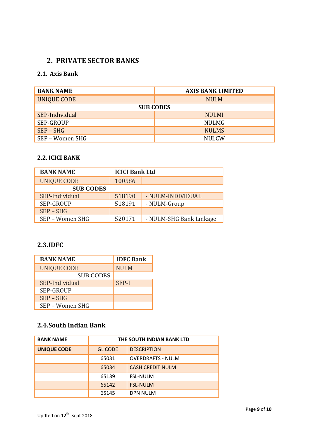# <span id="page-9-1"></span><span id="page-9-0"></span>**2. PRIVATE SECTOR BANKS**

# **2.1. Axis Bank**

| <b>BANK NAME</b> | <b>AXIS BANK LIMITED</b> |  |  |  |
|------------------|--------------------------|--|--|--|
| UNIQUE CODE      | <b>NULM</b>              |  |  |  |
| <b>SUB CODES</b> |                          |  |  |  |
| SEP-Individual   | <b>NULMI</b>             |  |  |  |
| SEP-GROUP        | <b>NULMG</b>             |  |  |  |
| $SEP - SHG$      | <b>NULMS</b>             |  |  |  |
| SEP – Women SHG  | <b>NULCW</b>             |  |  |  |

### <span id="page-9-2"></span>**2.2.ICICI BANK**

| <b>BANK NAME</b>   | <b>ICICI Bank Ltd</b> |                         |
|--------------------|-----------------------|-------------------------|
| <b>UNIQUE CODE</b> | 100586                |                         |
| <b>SUB CODES</b>   |                       |                         |
| SEP-Individual     | 518190                | - NULM-INDIVIDUAL       |
| <b>SEP-GROUP</b>   | 518191                | - NULM-Group            |
| $SEP - SHG$        |                       |                         |
| SEP - Women SHG    | 520171                | - NULM-SHG Bank Linkage |

# <span id="page-9-3"></span>**2.3.IDFC**

| <b>BANK NAME</b>   | <b>IDFC Bank</b> |
|--------------------|------------------|
| <b>UNIQUE CODE</b> | <b>NULM</b>      |
| <b>SUB CODES</b>   |                  |
| SEP-Individual     | SEP-I            |
| <b>SEP-GROUP</b>   |                  |
| $SEP - SHG$        |                  |
| SEP - Women SHG    |                  |

# <span id="page-9-4"></span>**2.4.South Indian Bank**

| <b>BANK NAME</b>   | THE SOUTH INDIAN BANK LTD |                          |
|--------------------|---------------------------|--------------------------|
| <b>UNIQUE CODE</b> | <b>GL CODE</b>            | <b>DESCRIPTION</b>       |
|                    | 65031                     | <b>OVERDRAFTS - NULM</b> |
|                    | 65034                     | <b>CASH CREDIT NULM</b>  |
|                    | 65139                     | <b>FSL-NULM</b>          |
|                    | 65142                     | <b>FSL-NULM</b>          |
|                    | 65145                     | <b>DPN NULM</b>          |